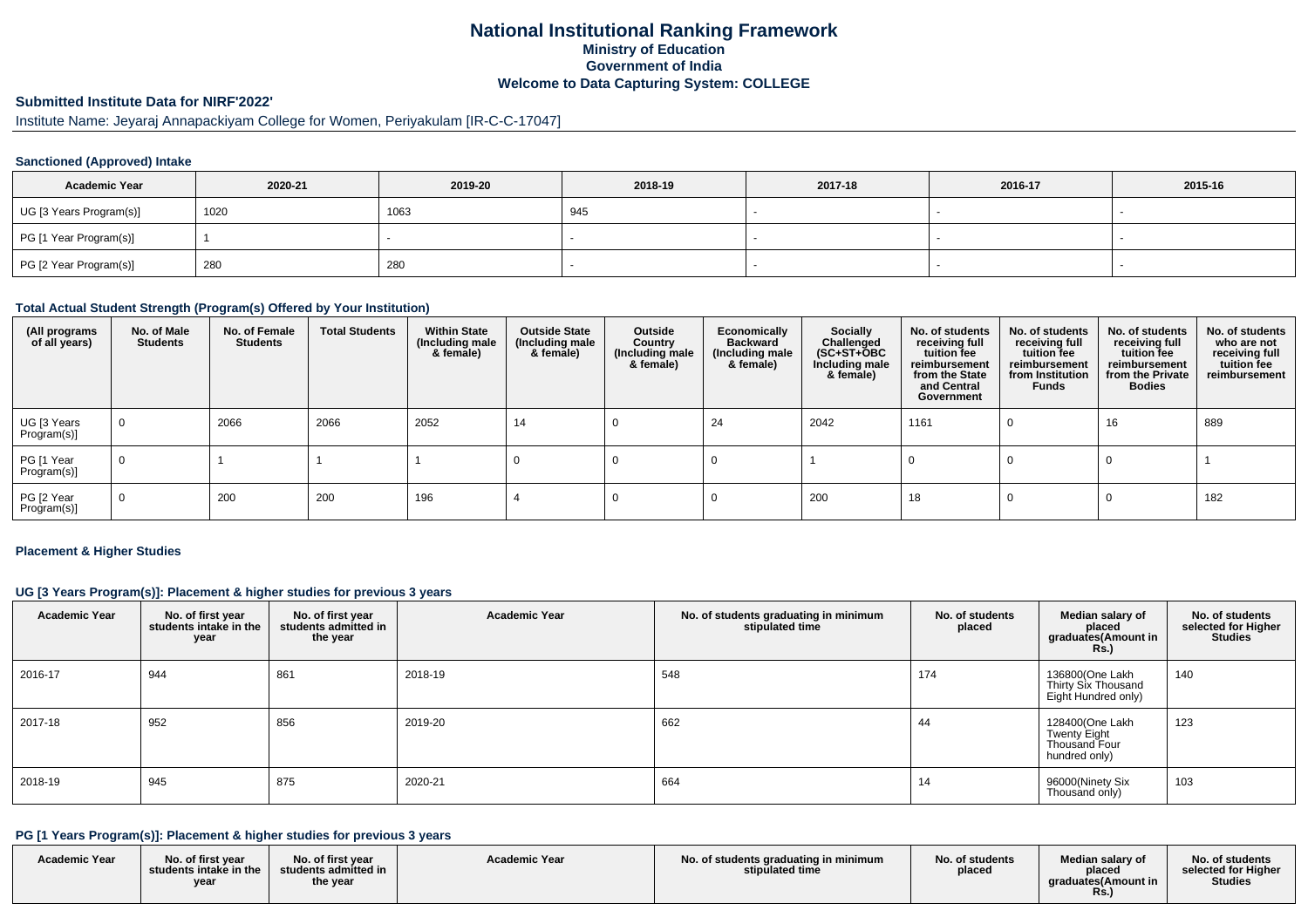# **National Institutional Ranking FrameworkMinistry of Education Government of IndiaWelcome to Data Capturing System: COLLEGE**

# **Submitted Institute Data for NIRF'2022'**

# Institute Name: Jeyaraj Annapackiyam College for Women, Periyakulam [IR-C-C-17047]

#### **Sanctioned (Approved) Intake**

| <b>Academic Year</b>    | 2020-21 | 2019-20 | 2018-19 | 2017-18 | 2016-17 | 2015-16 |
|-------------------------|---------|---------|---------|---------|---------|---------|
| UG [3 Years Program(s)] | 1020    | 1063    | 945     |         |         |         |
| PG [1 Year Program(s)]  |         |         |         |         |         |         |
| PG [2 Year Program(s)]  | 280     | 280     |         |         |         |         |

#### **Total Actual Student Strength (Program(s) Offered by Your Institution)**

| (All programs<br>of all years) | No. of Male<br><b>Students</b> | No. of Female<br><b>Students</b> | <b>Total Students</b> | <b>Within State</b><br>(Including male<br>& female) | <b>Outside State</b><br>(Including male<br>& female) | Outside<br>Country<br>(Including male<br>& female) | Economically<br><b>Backward</b><br>(Including male<br>& female) | Socially<br>Challenged<br>$(SC+ST+\text{O}BC)$<br>Including male<br>& female) | No. of students<br>receiving full<br>tuition fee<br>reimbursement<br>from the State<br>and Central<br>Government | No. of students<br>receiving full<br>tuition fee<br>reimbursement<br>from Institution<br><b>Funds</b> | No. of students<br>receiving full<br>tuition fee<br>reimbursement<br>from the Private<br><b>Bodies</b> | No. of students<br>who are not<br>receiving full<br>tuition fee<br>reimbursement |
|--------------------------------|--------------------------------|----------------------------------|-----------------------|-----------------------------------------------------|------------------------------------------------------|----------------------------------------------------|-----------------------------------------------------------------|-------------------------------------------------------------------------------|------------------------------------------------------------------------------------------------------------------|-------------------------------------------------------------------------------------------------------|--------------------------------------------------------------------------------------------------------|----------------------------------------------------------------------------------|
| UG [3 Years<br>Program(s)]     | $\mathbf 0$                    | 2066                             | 2066                  | 2052                                                | 14                                                   |                                                    | 24                                                              | 2042                                                                          | 1161                                                                                                             |                                                                                                       | 16                                                                                                     | 889                                                                              |
| PG [1 Year<br>Program(s)]      | $\mathbf 0$                    |                                  |                       |                                                     |                                                      |                                                    |                                                                 |                                                                               |                                                                                                                  |                                                                                                       |                                                                                                        |                                                                                  |
| PG [2 Year<br>Program(s)]      | $\mathbf 0$                    | 200                              | 200                   | 196                                                 |                                                      |                                                    |                                                                 | 200                                                                           | 18                                                                                                               |                                                                                                       |                                                                                                        | 182                                                                              |

#### **Placement & Higher Studies**

#### **UG [3 Years Program(s)]: Placement & higher studies for previous 3 years**

| <b>Academic Year</b> | No. of first year<br>students intake in the<br>year | No. of first year<br>students admitted in<br>the year | <b>Academic Year</b> | No. of students graduating in minimum<br>stipulated time | No. of students<br>placed | Median salary of<br>placed<br>graduates(Amount in<br><b>Rs.)</b>                | No. of students<br>selected for Higher<br><b>Studies</b> |
|----------------------|-----------------------------------------------------|-------------------------------------------------------|----------------------|----------------------------------------------------------|---------------------------|---------------------------------------------------------------------------------|----------------------------------------------------------|
| 2016-17              | 944                                                 | 861                                                   | 2018-19              | 548                                                      | 174                       | 136800(One Lakh<br>Thirty Six Thousand<br>Eight Hundred only)                   | 140                                                      |
| 2017-18              | 952                                                 | 856                                                   | 2019-20              | 662                                                      | 44                        | 128400(One Lakh<br><b>Twenty Eight</b><br><b>Thousand Four</b><br>hundred only) | 123                                                      |
| 2018-19              | 945                                                 | 875                                                   | 2020-21              | 664                                                      | 14                        | 96000(Ninety Six<br>Thousand only)                                              | 103                                                      |

### **PG [1 Years Program(s)]: Placement & higher studies for previous 3 years**

| <b>Academic Year</b> | No. of first year<br>students intake in the<br>vear | No. of first year<br>$\blacksquare$ students admitted in $\blacksquare$<br>the year | <b>Academic Year</b> | No. of students graduating in minimum<br>stipulated time | No. of students<br>placed | Median salary of<br>placed<br>araduates(Amount in<br>Rs. | No. of students<br>selected for Higher<br>Studies |
|----------------------|-----------------------------------------------------|-------------------------------------------------------------------------------------|----------------------|----------------------------------------------------------|---------------------------|----------------------------------------------------------|---------------------------------------------------|
|----------------------|-----------------------------------------------------|-------------------------------------------------------------------------------------|----------------------|----------------------------------------------------------|---------------------------|----------------------------------------------------------|---------------------------------------------------|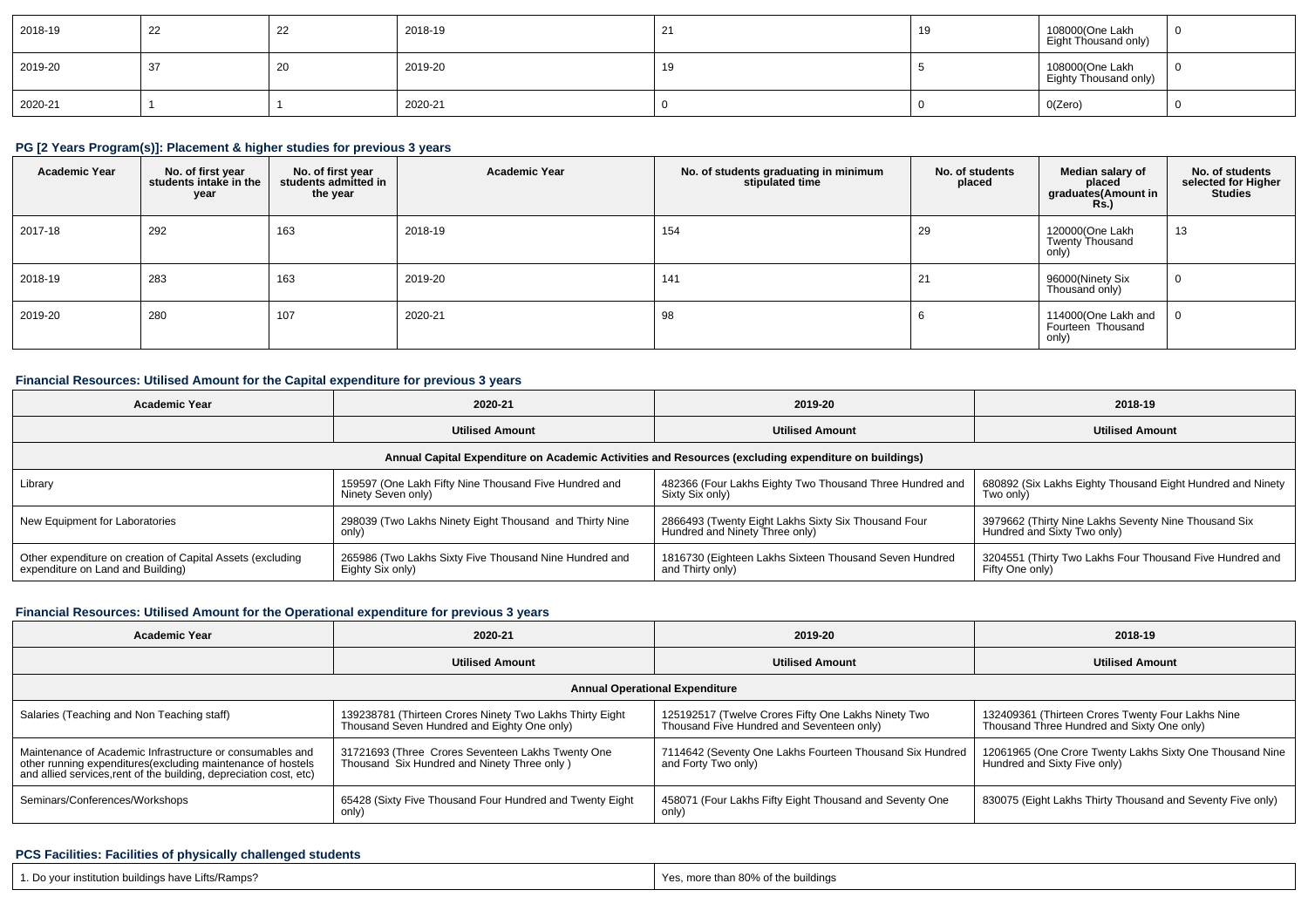| 2018-19 | 22 | __ | 2018-19 | $\Omega$ | 19 | 108000(One Lakh<br>Eight Thousand only)  | - 0 |
|---------|----|----|---------|----------|----|------------------------------------------|-----|
| 2019-20 | 37 | ∠∪ | 2019-20 | 19       |    | 108000(One Lakh<br>Eighty Thousand only) | - 0 |
| 2020-21 |    |    | 2020-21 |          |    | 0(Zero)                                  |     |

# **PG [2 Years Program(s)]: Placement & higher studies for previous 3 years**

| <b>Academic Year</b> | No. of first year<br>students intake in the<br>year | No. of first year<br>students admitted in<br>the year | <b>Academic Year</b> | No. of students graduating in minimum<br>stipulated time | No. of students<br>placed | Median salary of<br>placed<br>graduates(Amount in<br><b>Rs.</b> ) | No. of students<br>selected for Higher<br><b>Studies</b> |
|----------------------|-----------------------------------------------------|-------------------------------------------------------|----------------------|----------------------------------------------------------|---------------------------|-------------------------------------------------------------------|----------------------------------------------------------|
| 2017-18              | 292                                                 | 163                                                   | 2018-19              | 154                                                      | 29                        | 120000(One Lakh<br>Twenty Thousand<br>only)                       | 13                                                       |
| 2018-19              | 283                                                 | 163                                                   | 2019-20              | 141                                                      | 21                        | 96000(Ninety Six<br>Thousand only)                                | - U                                                      |
| 2019-20              | 280                                                 | 107                                                   | 2020-21              | 98                                                       |                           | 114000(One Lakh and<br>Fourteen Thousand<br>only)                 |                                                          |

### **Financial Resources: Utilised Amount for the Capital expenditure for previous 3 years**

| <b>Academic Year</b>                                                                                 | 2020-21                                                                     | 2019-20                                                                               | 2018-19                                                                             |  |  |  |  |  |  |
|------------------------------------------------------------------------------------------------------|-----------------------------------------------------------------------------|---------------------------------------------------------------------------------------|-------------------------------------------------------------------------------------|--|--|--|--|--|--|
|                                                                                                      | <b>Utilised Amount</b>                                                      | <b>Utilised Amount</b>                                                                | <b>Utilised Amount</b>                                                              |  |  |  |  |  |  |
| Annual Capital Expenditure on Academic Activities and Resources (excluding expenditure on buildings) |                                                                             |                                                                                       |                                                                                     |  |  |  |  |  |  |
| Library                                                                                              | 159597 (One Lakh Fifty Nine Thousand Five Hundred and<br>Ninety Seven only) | 482366 (Four Lakhs Eighty Two Thousand Three Hundred and<br>Sixty Six only)           | 680892 (Six Lakhs Eighty Thousand Eight Hundred and Ninety<br>Two onlv)             |  |  |  |  |  |  |
| New Equipment for Laboratories                                                                       | 298039 (Two Lakhs Ninety Eight Thousand and Thirty Nine<br>only)            | 2866493 (Twenty Eight Lakhs Sixty Six Thousand Four<br>Hundred and Ninety Three only) | 3979662 (Thirty Nine Lakhs Seventy Nine Thousand Six<br>Hundred and Sixty Two only) |  |  |  |  |  |  |
| Other expenditure on creation of Capital Assets (excluding<br>expenditure on Land and Building)      | 265986 (Two Lakhs Sixty Five Thousand Nine Hundred and<br>Eighty Six only)  | 1816730 (Eighteen Lakhs Sixteen Thousand Seven Hundred<br>and Thirty only)            | 3204551 (Thirty Two Lakhs Four Thousand Five Hundred and<br>Fifty One only)         |  |  |  |  |  |  |

### **Financial Resources: Utilised Amount for the Operational expenditure for previous 3 years**

| <b>Academic Year</b>                                                                                                                                                                           | 2020-21                                                                                                 | 2019-20                                                                                          | 2018-19                                                                                         |  |  |  |  |  |  |
|------------------------------------------------------------------------------------------------------------------------------------------------------------------------------------------------|---------------------------------------------------------------------------------------------------------|--------------------------------------------------------------------------------------------------|-------------------------------------------------------------------------------------------------|--|--|--|--|--|--|
|                                                                                                                                                                                                | <b>Utilised Amount</b>                                                                                  | <b>Utilised Amount</b>                                                                           | <b>Utilised Amount</b>                                                                          |  |  |  |  |  |  |
| <b>Annual Operational Expenditure</b>                                                                                                                                                          |                                                                                                         |                                                                                                  |                                                                                                 |  |  |  |  |  |  |
| Salaries (Teaching and Non Teaching staff)                                                                                                                                                     | 139238781 (Thirteen Crores Ninety Two Lakhs Thirty Eight<br>Thousand Seven Hundred and Eighty One only) | 125192517 (Twelve Crores Fifty One Lakhs Ninety Two<br>Thousand Five Hundred and Seventeen only) | 132409361 (Thirteen Crores Twenty Four Lakhs Nine<br>Thousand Three Hundred and Sixty One only) |  |  |  |  |  |  |
| Maintenance of Academic Infrastructure or consumables and<br>other running expenditures(excluding maintenance of hostels<br>and allied services, rent of the building, depreciation cost, etc) | 31721693 (Three Crores Seventeen Lakhs Twenty One<br>Thousand Six Hundred and Ninety Three only )       | 7114642 (Seventy One Lakhs Fourteen Thousand Six Hundred<br>and Forty Two only)                  | 12061965 (One Crore Twenty Lakhs Sixty One Thousand Nine<br>Hundred and Sixty Five only)        |  |  |  |  |  |  |
| Seminars/Conferences/Workshops                                                                                                                                                                 | 65428 (Sixty Five Thousand Four Hundred and Twenty Eight<br>only)                                       | 458071 (Four Lakhs Fifty Eight Thousand and Seventy One<br>only)                                 | 830075 (Eight Lakhs Thirty Thousand and Seventy Five only)                                      |  |  |  |  |  |  |

#### **PCS Facilities: Facilities of physically challenged students**

| 1. Do your institution buildings have Lifts/Ramps? | Yes, more than 80% of the buildings |
|----------------------------------------------------|-------------------------------------|
|                                                    |                                     |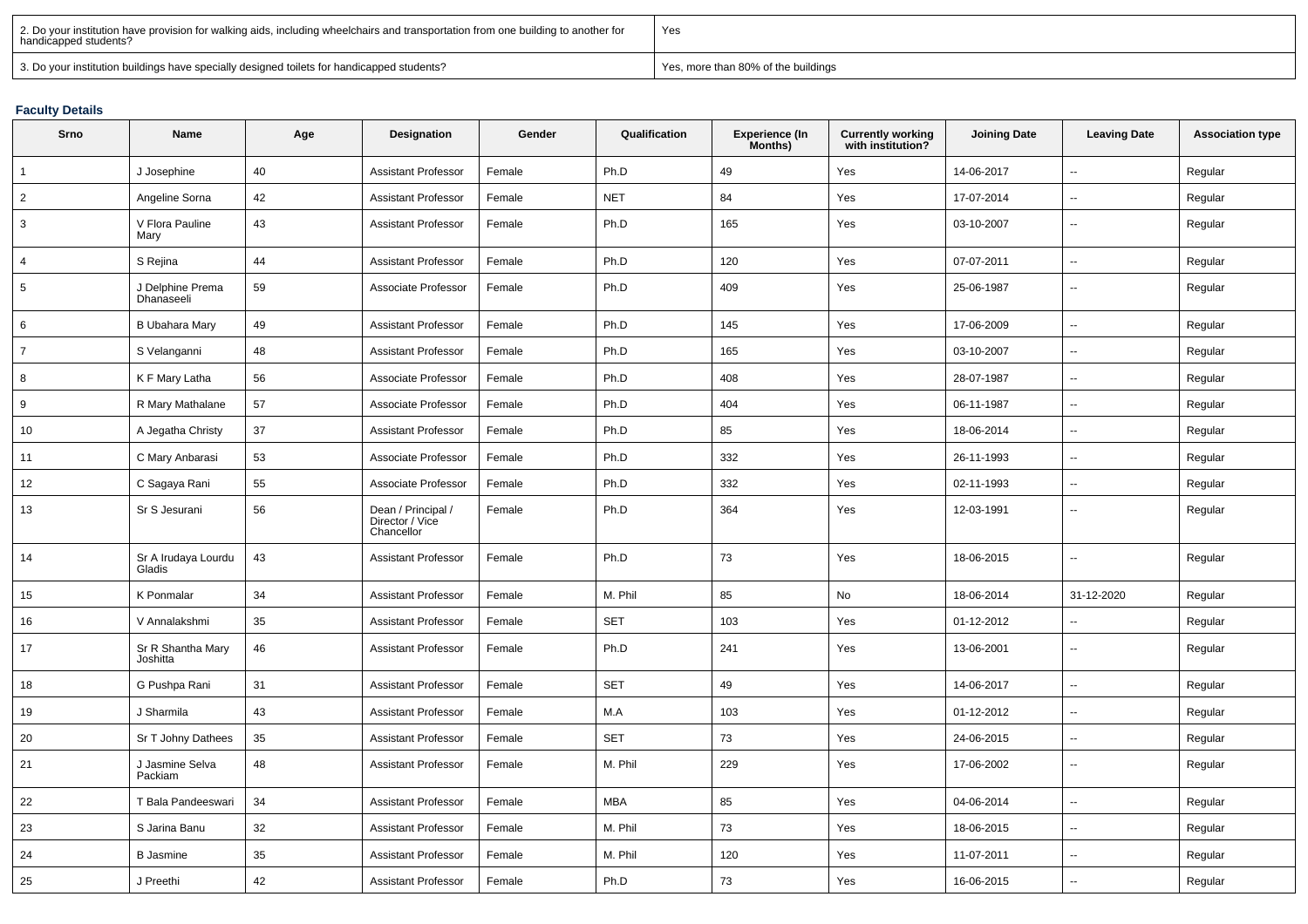| 2. Do your institution have provision for walking aids, including wheelchairs and transportation from one building to another for<br>  handicapped students? | Yes                                 |
|--------------------------------------------------------------------------------------------------------------------------------------------------------------|-------------------------------------|
| 3. Do your institution buildings have specially designed toilets for handicapped students?                                                                   | Yes, more than 80% of the buildings |

#### **Faculty Details**

| Srno            | Name                           | Age | Designation                                         | Gender | Qualification | Experience (In<br>Months) | <b>Currently working</b><br>with institution? | <b>Joining Date</b> | <b>Leaving Date</b>      | <b>Association type</b> |
|-----------------|--------------------------------|-----|-----------------------------------------------------|--------|---------------|---------------------------|-----------------------------------------------|---------------------|--------------------------|-------------------------|
| $\mathbf{1}$    | J Josephine                    | 40  | <b>Assistant Professor</b>                          | Female | Ph.D          | 49                        | Yes                                           | 14-06-2017          | Ξ.                       | Regular                 |
| $\overline{2}$  | Angeline Sorna                 | 42  | <b>Assistant Professor</b>                          | Female | <b>NET</b>    | 84                        | Yes                                           | 17-07-2014          | ц.                       | Regular                 |
| 3               | V Flora Pauline<br>Mary        | 43  | <b>Assistant Professor</b>                          | Female | Ph.D          | 165                       | Yes                                           | 03-10-2007          | $\mathbf{u}$             | Regular                 |
| $\overline{4}$  | S Rejina                       | 44  | <b>Assistant Professor</b>                          | Female | Ph.D          | 120                       | Yes                                           | 07-07-2011          | Ξ.                       | Regular                 |
| $5\phantom{.0}$ | J Delphine Prema<br>Dhanaseeli | 59  | Associate Professor                                 | Female | Ph.D          | 409                       | Yes                                           | 25-06-1987          | $\overline{\phantom{a}}$ | Regular                 |
| 6               | B Ubahara Mary                 | 49  | <b>Assistant Professor</b>                          | Female | Ph.D          | 145                       | Yes                                           | 17-06-2009          | Щ,                       | Regular                 |
| $\overline{7}$  | S Velanganni                   | 48  | <b>Assistant Professor</b>                          | Female | Ph.D          | 165                       | Yes                                           | 03-10-2007          | Щ,                       | Regular                 |
| 8               | K F Mary Latha                 | 56  | Associate Professor                                 | Female | Ph.D          | 408                       | Yes                                           | 28-07-1987          | $\mathbf{u}$             | Regular                 |
| 9               | R Mary Mathalane               | 57  | Associate Professor                                 | Female | Ph.D          | 404                       | Yes                                           | 06-11-1987          | $\mathbf{u}$             | Regular                 |
| 10              | A Jegatha Christy              | 37  | <b>Assistant Professor</b>                          | Female | Ph.D          | 85                        | Yes                                           | 18-06-2014          | $\overline{\phantom{a}}$ | Regular                 |
| 11              | C Mary Anbarasi                | 53  | Associate Professor                                 | Female | Ph.D          | 332                       | Yes                                           | 26-11-1993          | Щ,                       | Regular                 |
| 12              | C Sagaya Rani                  | 55  | Associate Professor                                 | Female | Ph.D          | 332                       | Yes                                           | 02-11-1993          | $\mathbf{u}$             | Regular                 |
| 13              | Sr S Jesurani                  | 56  | Dean / Principal /<br>Director / Vice<br>Chancellor | Female | Ph.D          | 364                       | Yes                                           | 12-03-1991          | Ξ.                       | Regular                 |
| 14              | Sr A Irudaya Lourdu<br>Gladis  | 43  | <b>Assistant Professor</b>                          | Female | Ph.D          | 73                        | Yes                                           | 18-06-2015          | $\overline{\phantom{a}}$ | Regular                 |
| 15              | K Ponmalar                     | 34  | <b>Assistant Professor</b>                          | Female | M. Phil       | 85                        | No                                            | 18-06-2014          | 31-12-2020               | Regular                 |
| 16              | V Annalakshmi                  | 35  | <b>Assistant Professor</b>                          | Female | <b>SET</b>    | 103                       | Yes                                           | 01-12-2012          | Ξ.                       | Regular                 |
| 17              | Sr R Shantha Mary<br>Joshitta  | 46  | <b>Assistant Professor</b>                          | Female | Ph.D          | 241                       | Yes                                           | 13-06-2001          | $\overline{\phantom{a}}$ | Regular                 |
| 18              | G Pushpa Rani                  | 31  | <b>Assistant Professor</b>                          | Female | <b>SET</b>    | 49                        | Yes                                           | 14-06-2017          | ц.                       | Regular                 |
| 19              | J Sharmila                     | 43  | <b>Assistant Professor</b>                          | Female | M.A           | 103                       | Yes                                           | 01-12-2012          | $\mathbf{u}$             | Regular                 |
| 20              | Sr T Johny Dathees             | 35  | <b>Assistant Professor</b>                          | Female | <b>SET</b>    | 73                        | Yes                                           | 24-06-2015          | Ξ.                       | Regular                 |
| 21              | J Jasmine Selva<br>Packiam     | 48  | <b>Assistant Professor</b>                          | Female | M. Phil       | 229                       | Yes                                           | 17-06-2002          | Ξ.                       | Regular                 |
| 22              | T Bala Pandeeswari             | 34  | <b>Assistant Professor</b>                          | Female | <b>MBA</b>    | 85                        | Yes                                           | 04-06-2014          | $\overline{\phantom{a}}$ | Regular                 |
| 23              | S Jarina Banu                  | 32  | <b>Assistant Professor</b>                          | Female | M. Phil       | 73                        | Yes                                           | 18-06-2015          | $\sim$                   | Regular                 |
| 24              | <b>B</b> Jasmine               | 35  | <b>Assistant Professor</b>                          | Female | M. Phil       | 120                       | Yes                                           | 11-07-2011          | $\mathbf{u}$             | Regular                 |
| 25              | J Preethi                      | 42  | <b>Assistant Professor</b>                          | Female | Ph.D          | 73                        | Yes                                           | 16-06-2015          |                          | Regular                 |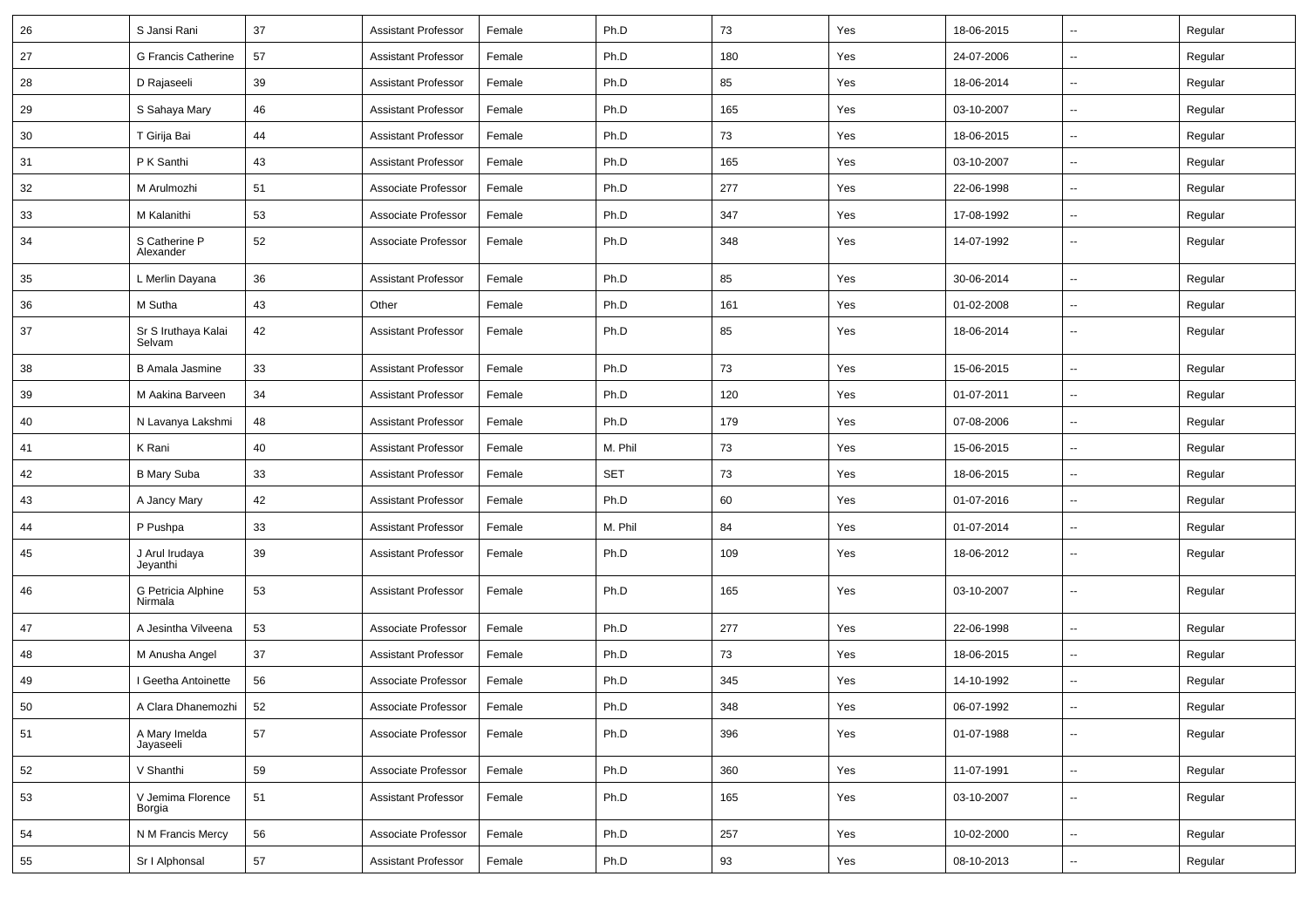| 26 | S Jansi Rani                  | 37 | <b>Assistant Professor</b> | Female | Ph.D       | 73  | Yes | 18-06-2015 | $\sim$                   | Regular |
|----|-------------------------------|----|----------------------------|--------|------------|-----|-----|------------|--------------------------|---------|
| 27 | G Francis Catherine           | 57 | <b>Assistant Professor</b> | Female | Ph.D       | 180 | Yes | 24-07-2006 | Ξ.                       | Regular |
| 28 | D Rajaseeli                   | 39 | <b>Assistant Professor</b> | Female | Ph.D       | 85  | Yes | 18-06-2014 | $\overline{\phantom{a}}$ | Regular |
| 29 | S Sahaya Mary                 | 46 | <b>Assistant Professor</b> | Female | Ph.D       | 165 | Yes | 03-10-2007 | $\overline{\phantom{a}}$ | Regular |
| 30 | T Girija Bai                  | 44 | <b>Assistant Professor</b> | Female | Ph.D       | 73  | Yes | 18-06-2015 | $\overline{a}$           | Regular |
| 31 | P K Santhi                    | 43 | <b>Assistant Professor</b> | Female | Ph.D       | 165 | Yes | 03-10-2007 | $\sim$                   | Regular |
| 32 | M Arulmozhi                   | 51 | Associate Professor        | Female | Ph.D       | 277 | Yes | 22-06-1998 | $\overline{a}$           | Regular |
| 33 | M Kalanithi                   | 53 | Associate Professor        | Female | Ph.D       | 347 | Yes | 17-08-1992 | Ξ.                       | Regular |
| 34 | S Catherine P<br>Alexander    | 52 | Associate Professor        | Female | Ph.D       | 348 | Yes | 14-07-1992 | $\overline{\phantom{a}}$ | Regular |
| 35 | L Merlin Dayana               | 36 | <b>Assistant Professor</b> | Female | Ph.D       | 85  | Yes | 30-06-2014 | Ξ.                       | Regular |
| 36 | M Sutha                       | 43 | Other                      | Female | Ph.D       | 161 | Yes | 01-02-2008 | ۰.                       | Regular |
| 37 | Sr S Iruthaya Kalai<br>Selvam | 42 | <b>Assistant Professor</b> | Female | Ph.D       | 85  | Yes | 18-06-2014 | ш.                       | Regular |
| 38 | B Amala Jasmine               | 33 | <b>Assistant Professor</b> | Female | Ph.D       | 73  | Yes | 15-06-2015 | $\overline{\phantom{a}}$ | Regular |
| 39 | M Aakina Barveen              | 34 | <b>Assistant Professor</b> | Female | Ph.D       | 120 | Yes | 01-07-2011 | $\sim$                   | Regular |
| 40 | N Lavanya Lakshmi             | 48 | <b>Assistant Professor</b> | Female | Ph.D       | 179 | Yes | 07-08-2006 | $\sim$                   | Regular |
| 41 | K Rani                        | 40 | <b>Assistant Professor</b> | Female | M. Phil    | 73  | Yes | 15-06-2015 | Ξ.                       | Regular |
| 42 | <b>B Mary Suba</b>            | 33 | <b>Assistant Professor</b> | Female | <b>SET</b> | 73  | Yes | 18-06-2015 | Ξ.                       | Regular |
| 43 | A Jancy Mary                  | 42 | <b>Assistant Professor</b> | Female | Ph.D       | 60  | Yes | 01-07-2016 | $\overline{a}$           | Regular |
| 44 | P Pushpa                      | 33 | <b>Assistant Professor</b> | Female | M. Phil    | 84  | Yes | 01-07-2014 | $\overline{\phantom{a}}$ | Regular |
| 45 | J Arul Irudaya<br>Jeyanthi    | 39 | <b>Assistant Professor</b> | Female | Ph.D       | 109 | Yes | 18-06-2012 | $\sim$                   | Regular |
| 46 | G Petricia Alphine<br>Nirmala | 53 | <b>Assistant Professor</b> | Female | Ph.D       | 165 | Yes | 03-10-2007 | Ξ.                       | Regular |
| 47 | A Jesintha Vilveena           | 53 | Associate Professor        | Female | Ph.D       | 277 | Yes | 22-06-1998 | $\sim$                   | Regular |
| 48 | M Anusha Angel                | 37 | <b>Assistant Professor</b> | Female | Ph.D       | 73  | Yes | 18-06-2015 | $\sim$                   | Regular |
| 49 | I Geetha Antoinette           | 56 | Associate Professor        | Female | Ph.D       | 345 | Yes | 14-10-1992 | $\overline{\phantom{a}}$ | Regular |
| 50 | A Clara Dhanemozhi            | 52 | Associate Professor        | Female | Ph.D       | 348 | Yes | 06-07-1992 | $\mathbf{u}$             | Regular |
| 51 | A Mary Imelda<br>Jayaseeli    | 57 | Associate Professor        | Female | Ph.D       | 396 | Yes | 01-07-1988 | Ξ.                       | Regular |
| 52 | V Shanthi                     | 59 | Associate Professor        | Female | Ph.D       | 360 | Yes | 11-07-1991 | $\sim$                   | Regular |
| 53 | V Jemima Florence<br>Borgia   | 51 | <b>Assistant Professor</b> | Female | Ph.D       | 165 | Yes | 03-10-2007 | $\sim$                   | Regular |
| 54 | N M Francis Mercy             | 56 | Associate Professor        | Female | Ph.D       | 257 | Yes | 10-02-2000 | ш.                       | Regular |
| 55 | Sr I Alphonsal                | 57 | <b>Assistant Professor</b> | Female | Ph.D       | 93  | Yes | 08-10-2013 | ш.                       | Regular |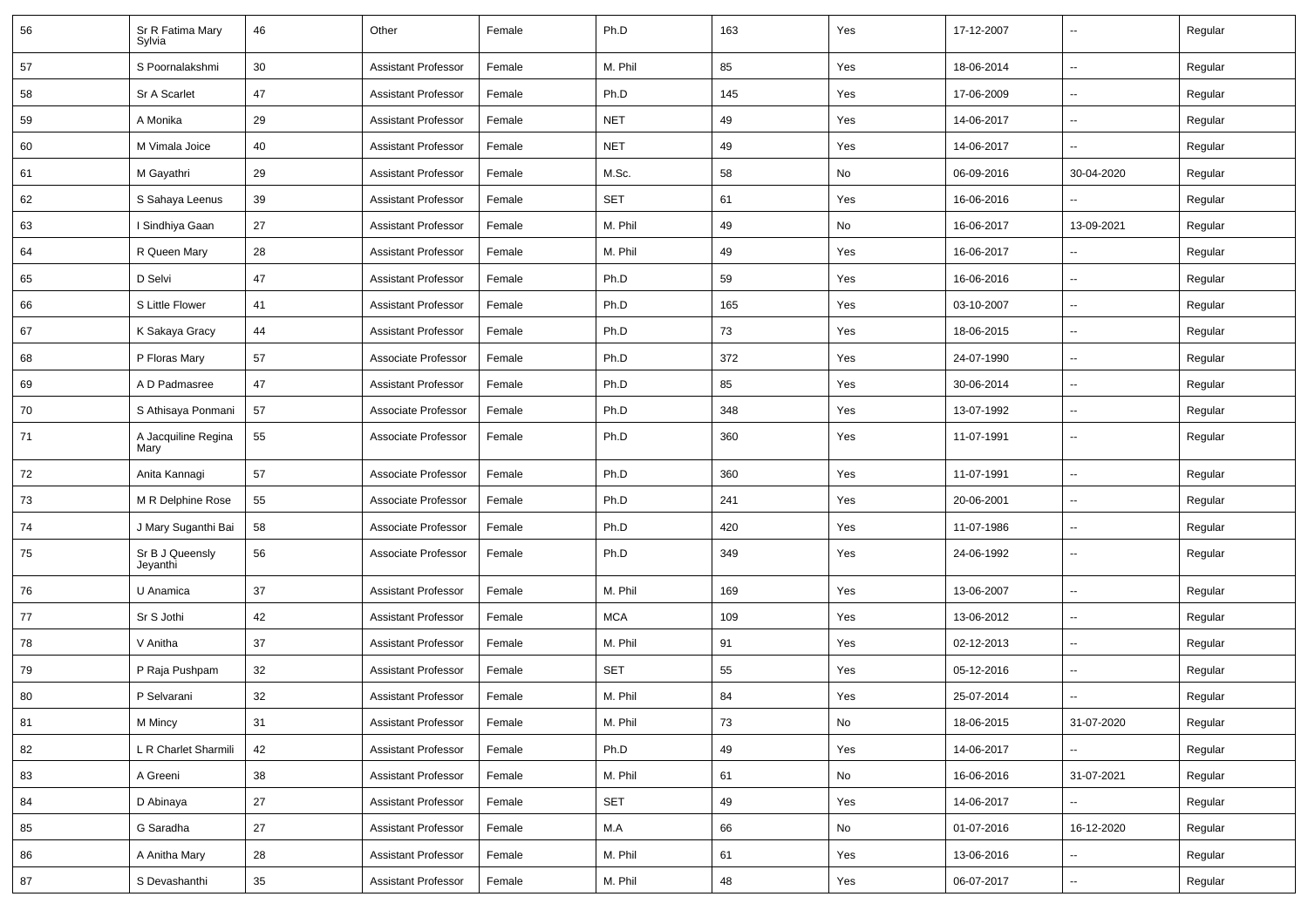| 56 | Sr R Fatima Mary<br>Sylvia  | 46     | Other                      | Female | Ph.D       | 163 | Yes | 17-12-2007 | $\overline{\phantom{a}}$ | Regular |
|----|-----------------------------|--------|----------------------------|--------|------------|-----|-----|------------|--------------------------|---------|
| 57 | S Poornalakshmi             | 30     | <b>Assistant Professor</b> | Female | M. Phil    | 85  | Yes | 18-06-2014 | $\overline{\phantom{a}}$ | Regular |
| 58 | Sr A Scarlet                | 47     | <b>Assistant Professor</b> | Female | Ph.D       | 145 | Yes | 17-06-2009 | -−                       | Regular |
| 59 | A Monika                    | 29     | <b>Assistant Professor</b> | Female | <b>NET</b> | 49  | Yes | 14-06-2017 | ⊷.                       | Regular |
| 60 | M Vimala Joice              | 40     | <b>Assistant Professor</b> | Female | <b>NET</b> | 49  | Yes | 14-06-2017 | $\overline{\phantom{a}}$ | Regular |
| 61 | M Gayathri                  | 29     | <b>Assistant Professor</b> | Female | M.Sc.      | 58  | No  | 06-09-2016 | 30-04-2020               | Regular |
| 62 | S Sahaya Leenus             | 39     | <b>Assistant Professor</b> | Female | <b>SET</b> | 61  | Yes | 16-06-2016 |                          | Regular |
| 63 | I Sindhiya Gaan             | 27     | <b>Assistant Professor</b> | Female | M. Phil    | 49  | No  | 16-06-2017 | 13-09-2021               | Regular |
| 64 | R Queen Mary                | 28     | <b>Assistant Professor</b> | Female | M. Phil    | 49  | Yes | 16-06-2017 | --                       | Regular |
| 65 | D Selvi                     | 47     | <b>Assistant Professor</b> | Female | Ph.D       | 59  | Yes | 16-06-2016 | ⊷.                       | Regular |
| 66 | S Little Flower             | 41     | <b>Assistant Professor</b> | Female | Ph.D       | 165 | Yes | 03-10-2007 | --                       | Regular |
| 67 | K Sakaya Gracy              | 44     | <b>Assistant Professor</b> | Female | Ph.D       | 73  | Yes | 18-06-2015 | --                       | Regular |
| 68 | P Floras Mary               | 57     | Associate Professor        | Female | Ph.D       | 372 | Yes | 24-07-1990 | $\overline{\phantom{a}}$ | Regular |
| 69 | A D Padmasree               | 47     | <b>Assistant Professor</b> | Female | Ph.D       | 85  | Yes | 30-06-2014 | $\overline{\phantom{a}}$ | Regular |
| 70 | S Athisaya Ponmani          | 57     | Associate Professor        | Female | Ph.D       | 348 | Yes | 13-07-1992 | -−                       | Regular |
| 71 | A Jacquiline Regina<br>Mary | 55     | Associate Professor        | Female | Ph.D       | 360 | Yes | 11-07-1991 | $\overline{\phantom{a}}$ | Regular |
| 72 | Anita Kannagi               | 57     | Associate Professor        | Female | Ph.D       | 360 | Yes | 11-07-1991 | $\overline{\phantom{a}}$ | Regular |
| 73 | M R Delphine Rose           | 55     | Associate Professor        | Female | Ph.D       | 241 | Yes | 20-06-2001 | $\overline{a}$           | Regular |
| 74 | J Mary Suganthi Bai         | 58     | Associate Professor        | Female | Ph.D       | 420 | Yes | 11-07-1986 | --                       | Regular |
| 75 | Sr B J Queensly<br>Jeyanthi | 56     | Associate Professor        | Female | Ph.D       | 349 | Yes | 24-06-1992 | $\mathbf{u}$             | Regular |
| 76 | U Anamica                   | 37     | <b>Assistant Professor</b> | Female | M. Phil    | 169 | Yes | 13-06-2007 | Ξ.                       | Regular |
| 77 | Sr S Jothi                  | 42     | <b>Assistant Professor</b> | Female | <b>MCA</b> | 109 | Yes | 13-06-2012 | $\overline{\phantom{a}}$ | Regular |
| 78 | V Anitha                    | 37     | <b>Assistant Professor</b> | Female | M. Phil    | 91  | Yes | 02-12-2013 | --                       | Regular |
| 79 | P Raja Pushpam              | 32     | <b>Assistant Professor</b> | Female | <b>SET</b> | 55  | Yes | 05-12-2016 | $\overline{a}$           | Regular |
| 80 | P Selvarani                 | 32     | <b>Assistant Professor</b> | Female | M. Phil    | 84  | Yes | 25-07-2014 |                          | Regular |
| 81 | M Mincy                     | 31     | <b>Assistant Professor</b> | Female | M. Phil    | 73  | No  | 18-06-2015 | 31-07-2020               | Regular |
| 82 | L R Charlet Sharmili        | 42     | <b>Assistant Professor</b> | Female | Ph.D       | 49  | Yes | 14-06-2017 |                          | Regular |
| 83 | A Greeni                    | 38     | <b>Assistant Professor</b> | Female | M. Phil    | 61  | No  | 16-06-2016 | 31-07-2021               | Regular |
| 84 | D Abinaya                   | 27     | Assistant Professor        | Female | SET        | 49  | Yes | 14-06-2017 | $\overline{\phantom{a}}$ | Regular |
| 85 | G Saradha                   | 27     | <b>Assistant Professor</b> | Female | M.A        | 66  | No  | 01-07-2016 | 16-12-2020               | Regular |
| 86 | A Anitha Mary               | $28\,$ | <b>Assistant Professor</b> | Female | M. Phil    | 61  | Yes | 13-06-2016 |                          | Regular |
| 87 | S Devashanthi               | 35     | <b>Assistant Professor</b> | Female | M. Phil    | 48  | Yes | 06-07-2017 | $\overline{\phantom{a}}$ | Regular |